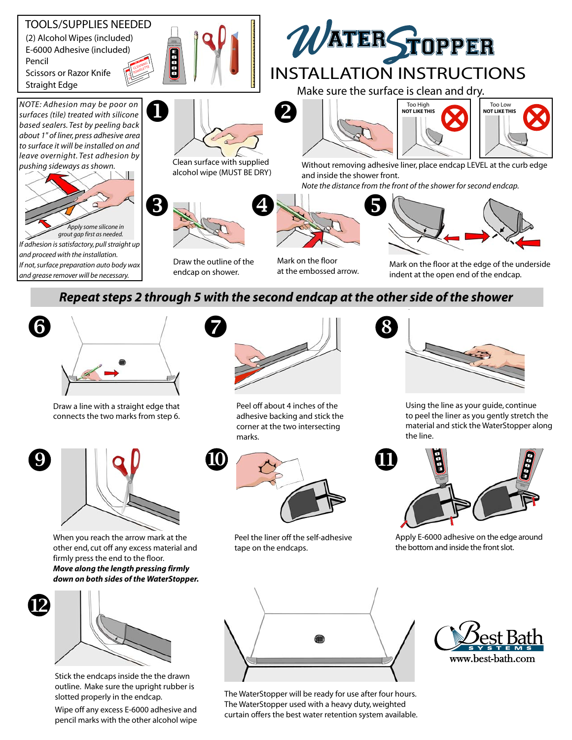

## *Repeat steps 2 through 5 with the second endcap at the other side of the shower*



Draw a line with a straight edge that connects the two marks from step 6.



When you reach the arrow mark at the other end, cut off any excess material and firmly press the end to the floor. *Move along the length pressing firmly down on both sides of the WaterStopper.*



Stick the endcaps inside the the drawn outline. Make sure the upright rubber is slotted properly in the endcap.

Wipe off any excess E-6000 adhesive and pencil marks with the other alcohol wipe



Peel off about 4 inches of the adhesive backing and stick the corner at the two intersecting marks.



Peel the liner off the self-adhesive tape on the endcaps.



Using the line as your guide, continue to peel the liner as you gently stretch the material and stick the WaterStopper along the line.



Apply E-6000 adhesive on the edge around the bottom and inside the front slot.



The WaterStopper will be ready for use after four hours. The WaterStopper used with a heavy duty, weighted curtain offers the best water retention system available.